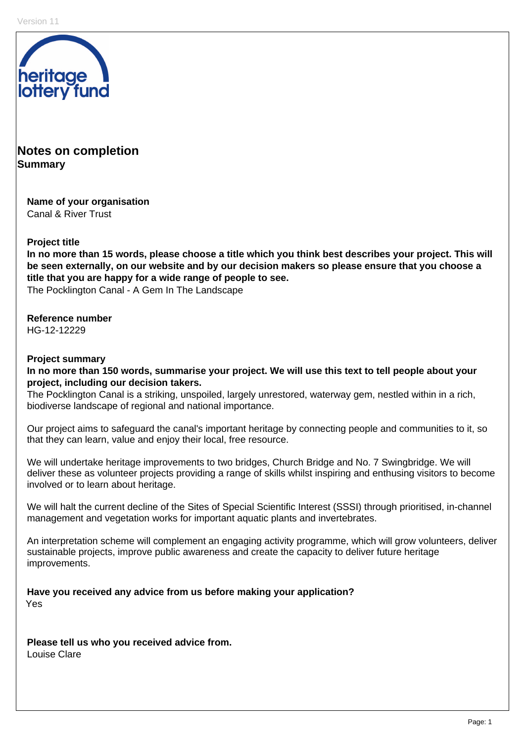

## **Notes on completion Summary**

**Name of your organisation** Canal & River Trust

#### **Project title**

**In no more than 15 words, please choose a title which you think best describes your project. This will be seen externally, on our website and by our decision makers so please ensure that you choose a title that you are happy for a wide range of people to see.**  The Pocklington Canal - A Gem In The Landscape

**Reference number**

HG-12-12229

#### **Project summary**

**In no more than 150 words, summarise your project. We will use this text to tell people about your project, including our decision takers.** 

The Pocklington Canal is a striking, unspoiled, largely unrestored, waterway gem, nestled within in a rich, biodiverse landscape of regional and national importance.

Our project aims to safeguard the canal's important heritage by connecting people and communities to it, so that they can learn, value and enjoy their local, free resource.

We will undertake heritage improvements to two bridges, Church Bridge and No. 7 Swingbridge. We will deliver these as volunteer projects providing a range of skills whilst inspiring and enthusing visitors to become involved or to learn about heritage.

We will halt the current decline of the Sites of Special Scientific Interest (SSSI) through prioritised, in-channel management and vegetation works for important aquatic plants and invertebrates.

An interpretation scheme will complement an engaging activity programme, which will grow volunteers, deliver sustainable projects, improve public awareness and create the capacity to deliver future heritage improvements.

**Have you received any advice from us before making your application?**  Yes

**Please tell us who you received advice from.**  Louise Clare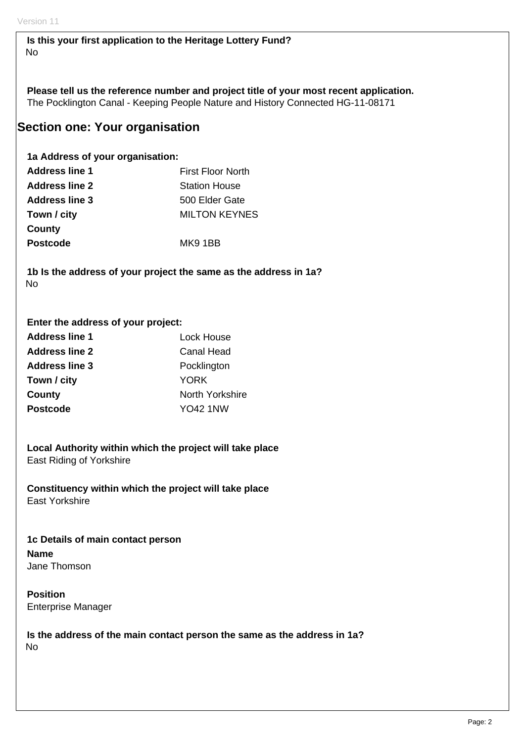**Is this your first application to the Heritage Lottery Fund?**  No

**Please tell us the reference number and project title of your most recent application.**  The Pocklington Canal - Keeping People Nature and History Connected HG-11-08171

## **Section one: Your organisation**

**1a Address of your organisation:** 

| <b>Address line 1</b> | <b>First Floor North</b> |
|-----------------------|--------------------------|
| <b>Address line 2</b> | <b>Station House</b>     |
| <b>Address line 3</b> | 500 Elder Gate           |
| Town / city           | <b>MILTON KEYNES</b>     |
| County                |                          |
| <b>Postcode</b>       | MK9 1BB                  |

**1b Is the address of your project the same as the address in 1a?**  No

#### **Enter the address of your project:**

| <b>Address line 1</b> | Lock House      |
|-----------------------|-----------------|
| <b>Address line 2</b> | Canal Head      |
| <b>Address line 3</b> | Pocklington     |
| Town / city           | YORK            |
| County                | North Yorkshire |
| <b>Postcode</b>       | YO42 1NW        |

**Local Authority within which the project will take place**  East Riding of Yorkshire

**Constituency within which the project will take place**  East Yorkshire

**1c Details of main contact person Name**  Jane Thomson

**Position**  Enterprise Manager

**Is the address of the main contact person the same as the address in 1a?**  No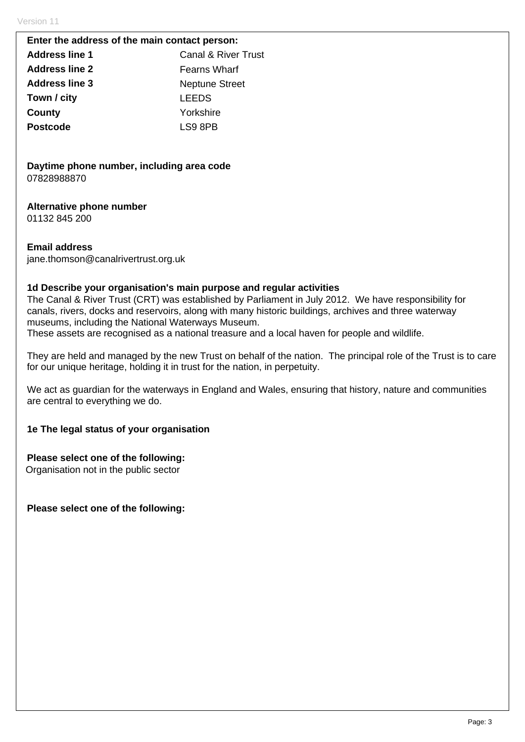#### **Enter the address of the main contact person:**

| <b>Address line 1</b> | Canal & River Trust   |
|-----------------------|-----------------------|
| <b>Address line 2</b> | <b>Fearns Wharf</b>   |
| <b>Address line 3</b> | <b>Neptune Street</b> |
| Town / city           | <b>LEEDS</b>          |
| County                | Yorkshire             |
| <b>Postcode</b>       | LS9 8PB               |
|                       |                       |

**Daytime phone number, including area code**  07828988870

## **Alternative phone number**

01132 845 200

## **Email address**

jane.thomson@canalrivertrust.org.uk

## **1d Describe your organisation's main purpose and regular activities**

The Canal & River Trust (CRT) was established by Parliament in July 2012. We have responsibility for canals, rivers, docks and reservoirs, along with many historic buildings, archives and three waterway museums, including the National Waterways Museum.

These assets are recognised as a national treasure and a local haven for people and wildlife.

They are held and managed by the new Trust on behalf of the nation. The principal role of the Trust is to care for our unique heritage, holding it in trust for the nation, in perpetuity.

We act as guardian for the waterways in England and Wales, ensuring that history, nature and communities are central to everything we do.

## **1e The legal status of your organisation**

**Please select one of the following:** 

Organisation not in the public sector

**Please select one of the following:**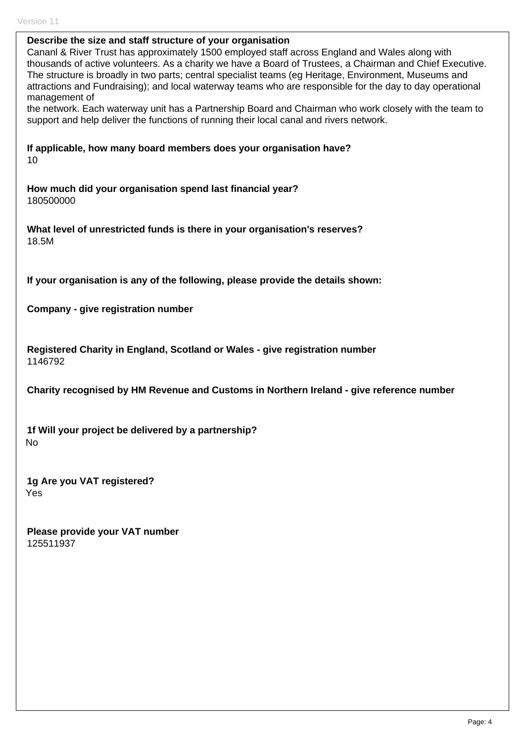| Describe the size and staff structure of your organisation<br>Cananl & River Trust has approximately 1500 employed staff across England and Wales along with<br>thousands of active volunteers. As a charity we have a Board of Trustees, a Chairman and Chief Executive.<br>The structure is broadly in two parts; central specialist teams (eg Heritage, Environment, Museums and<br>attractions and Fundraising); and local waterway teams who are responsible for the day to day operational<br>management of<br>the network. Each waterway unit has a Partnership Board and Chairman who work closely with the team to<br>support and help deliver the functions of running their local canal and rivers network. |
|------------------------------------------------------------------------------------------------------------------------------------------------------------------------------------------------------------------------------------------------------------------------------------------------------------------------------------------------------------------------------------------------------------------------------------------------------------------------------------------------------------------------------------------------------------------------------------------------------------------------------------------------------------------------------------------------------------------------|
| If applicable, how many board members does your organisation have?<br>10                                                                                                                                                                                                                                                                                                                                                                                                                                                                                                                                                                                                                                               |
| How much did your organisation spend last financial year?<br>180500000                                                                                                                                                                                                                                                                                                                                                                                                                                                                                                                                                                                                                                                 |
| What level of unrestricted funds is there in your organisation's reserves?<br>18.5M                                                                                                                                                                                                                                                                                                                                                                                                                                                                                                                                                                                                                                    |
| If your organisation is any of the following, please provide the details shown:                                                                                                                                                                                                                                                                                                                                                                                                                                                                                                                                                                                                                                        |
| Company - give registration number                                                                                                                                                                                                                                                                                                                                                                                                                                                                                                                                                                                                                                                                                     |
| Registered Charity in England, Scotland or Wales - give registration number<br>1146792                                                                                                                                                                                                                                                                                                                                                                                                                                                                                                                                                                                                                                 |
| Charity recognised by HM Revenue and Customs in Northern Ireland - give reference number                                                                                                                                                                                                                                                                                                                                                                                                                                                                                                                                                                                                                               |
| 1f Will your project be delivered by a partnership?<br><b>No</b>                                                                                                                                                                                                                                                                                                                                                                                                                                                                                                                                                                                                                                                       |
| 1g Are you VAT registered?<br>Yes                                                                                                                                                                                                                                                                                                                                                                                                                                                                                                                                                                                                                                                                                      |
| Please provide your VAT number<br>125511937                                                                                                                                                                                                                                                                                                                                                                                                                                                                                                                                                                                                                                                                            |
|                                                                                                                                                                                                                                                                                                                                                                                                                                                                                                                                                                                                                                                                                                                        |
|                                                                                                                                                                                                                                                                                                                                                                                                                                                                                                                                                                                                                                                                                                                        |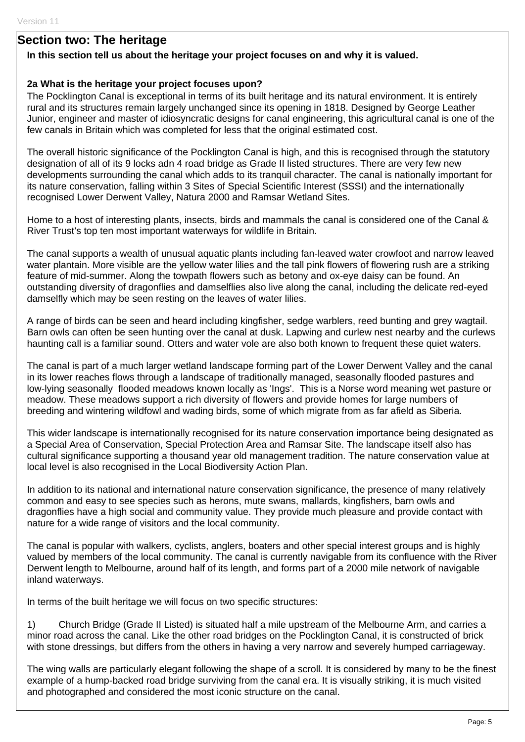## **Section two: The heritage**

#### **In this section tell us about the heritage your project focuses on and why it is valued.**

#### **2a What is the heritage your project focuses upon?**

The Pocklington Canal is exceptional in terms of its built heritage and its natural environment. It is entirely rural and its structures remain largely unchanged since its opening in 1818. Designed by George Leather Junior, engineer and master of idiosyncratic designs for canal engineering, this agricultural canal is one of the few canals in Britain which was completed for less that the original estimated cost.

The overall historic significance of the Pocklington Canal is high, and this is recognised through the statutory designation of all of its 9 locks adn 4 road bridge as Grade II listed structures. There are very few new developments surrounding the canal which adds to its tranquil character. The canal is nationally important for its nature conservation, falling within 3 Sites of Special Scientific Interest (SSSI) and the internationally recognised Lower Derwent Valley, Natura 2000 and Ramsar Wetland Sites.

Home to a host of interesting plants, insects, birds and mammals the canal is considered one of the Canal & River Trust's top ten most important waterways for wildlife in Britain.

The canal supports a wealth of unusual aquatic plants including fan-leaved water crowfoot and narrow leaved water plantain. More visible are the yellow water lilies and the tall pink flowers of flowering rush are a striking feature of mid-summer. Along the towpath flowers such as betony and ox-eye daisy can be found. An outstanding diversity of dragonflies and damselflies also live along the canal, including the delicate red-eyed damselfly which may be seen resting on the leaves of water lilies.

A range of birds can be seen and heard including kingfisher, sedge warblers, reed bunting and grey wagtail. Barn owls can often be seen hunting over the canal at dusk. Lapwing and curlew nest nearby and the curlews haunting call is a familiar sound. Otters and water vole are also both known to frequent these quiet waters.

The canal is part of a much larger wetland landscape forming part of the Lower Derwent Valley and the canal in its lower reaches flows through a landscape of traditionally managed, seasonally flooded pastures and low-lying seasonally flooded meadows known locally as 'Ings'. This is a Norse word meaning wet pasture or meadow. These meadows support a rich diversity of flowers and provide homes for large numbers of breeding and wintering wildfowl and wading birds, some of which migrate from as far afield as Siberia.

This wider landscape is internationally recognised for its nature conservation importance being designated as a Special Area of Conservation, Special Protection Area and Ramsar Site. The landscape itself also has cultural significance supporting a thousand year old management tradition. The nature conservation value at local level is also recognised in the Local Biodiversity Action Plan.

In addition to its national and international nature conservation significance, the presence of many relatively common and easy to see species such as herons, mute swans, mallards, kingfishers, barn owls and dragonflies have a high social and community value. They provide much pleasure and provide contact with nature for a wide range of visitors and the local community.

The canal is popular with walkers, cyclists, anglers, boaters and other special interest groups and is highly valued by members of the local community. The canal is currently navigable from its confluence with the River Derwent length to Melbourne, around half of its length, and forms part of a 2000 mile network of navigable inland waterways.

In terms of the built heritage we will focus on two specific structures:

1) Church Bridge (Grade II Listed) is situated half a mile upstream of the Melbourne Arm, and carries a minor road across the canal. Like the other road bridges on the Pocklington Canal, it is constructed of brick with stone dressings, but differs from the others in having a very narrow and severely humped carriageway.

The wing walls are particularly elegant following the shape of a scroll. It is considered by many to be the finest example of a hump-backed road bridge surviving from the canal era. It is visually striking, it is much visited and photographed and considered the most iconic structure on the canal.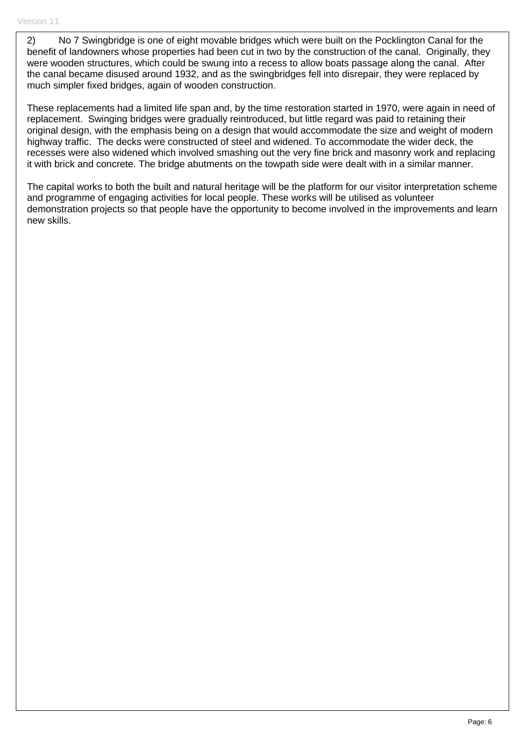2) No 7 Swingbridge is one of eight movable bridges which were built on the Pocklington Canal for the benefit of landowners whose properties had been cut in two by the construction of the canal. Originally, they were wooden structures, which could be swung into a recess to allow boats passage along the canal. After the canal became disused around 1932, and as the swingbridges fell into disrepair, they were replaced by much simpler fixed bridges, again of wooden construction.

These replacements had a limited life span and, by the time restoration started in 1970, were again in need of replacement. Swinging bridges were gradually reintroduced, but little regard was paid to retaining their original design, with the emphasis being on a design that would accommodate the size and weight of modern highway traffic. The decks were constructed of steel and widened. To accommodate the wider deck, the recesses were also widened which involved smashing out the very fine brick and masonry work and replacing it with brick and concrete. The bridge abutments on the towpath side were dealt with in a similar manner.

The capital works to both the built and natural heritage will be the platform for our visitor interpretation scheme and programme of engaging activities for local people. These works will be utilised as volunteer demonstration projects so that people have the opportunity to become involved in the improvements and learn new skills.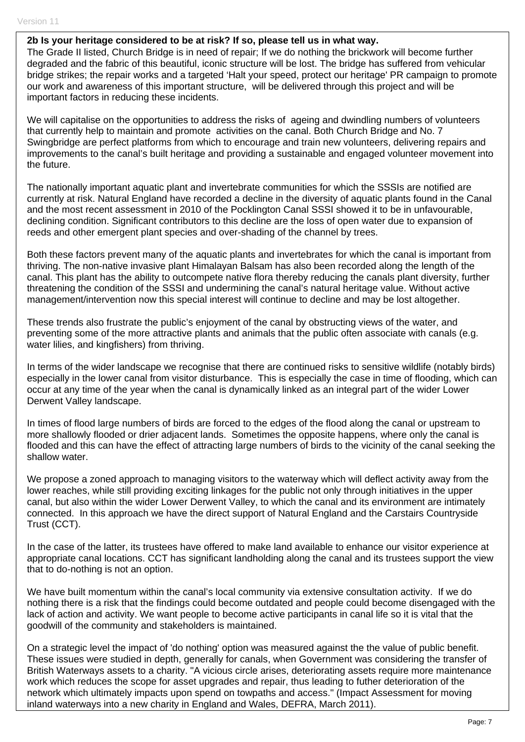#### **2b Is your heritage considered to be at risk? If so, please tell us in what way.**

The Grade II listed, Church Bridge is in need of repair; If we do nothing the brickwork will become further degraded and the fabric of this beautiful, iconic structure will be lost. The bridge has suffered from vehicular bridge strikes; the repair works and a targeted 'Halt your speed, protect our heritage' PR campaign to promote our work and awareness of this important structure, will be delivered through this project and will be important factors in reducing these incidents.

We will capitalise on the opportunities to address the risks of ageing and dwindling numbers of volunteers that currently help to maintain and promote activities on the canal. Both Church Bridge and No. 7 Swingbridge are perfect platforms from which to encourage and train new volunteers, delivering repairs and improvements to the canal's built heritage and providing a sustainable and engaged volunteer movement into the future.

The nationally important aquatic plant and invertebrate communities for which the SSSIs are notified are currently at risk. Natural England have recorded a decline in the diversity of aquatic plants found in the Canal and the most recent assessment in 2010 of the Pocklington Canal SSSI showed it to be in unfavourable, declining condition. Significant contributors to this decline are the loss of open water due to expansion of reeds and other emergent plant species and over-shading of the channel by trees.

Both these factors prevent many of the aquatic plants and invertebrates for which the canal is important from thriving. The non-native invasive plant Himalayan Balsam has also been recorded along the length of the canal. This plant has the ability to outcompete native flora thereby reducing the canals plant diversity, further threatening the condition of the SSSI and undermining the canal's natural heritage value. Without active management/intervention now this special interest will continue to decline and may be lost altogether.

These trends also frustrate the public's enjoyment of the canal by obstructing views of the water, and preventing some of the more attractive plants and animals that the public often associate with canals (e.g. water lilies, and kingfishers) from thriving.

In terms of the wider landscape we recognise that there are continued risks to sensitive wildlife (notably birds) especially in the lower canal from visitor disturbance. This is especially the case in time of flooding, which can occur at any time of the year when the canal is dynamically linked as an integral part of the wider Lower Derwent Valley landscape.

In times of flood large numbers of birds are forced to the edges of the flood along the canal or upstream to more shallowly flooded or drier adjacent lands. Sometimes the opposite happens, where only the canal is flooded and this can have the effect of attracting large numbers of birds to the vicinity of the canal seeking the shallow water.

We propose a zoned approach to managing visitors to the waterway which will deflect activity away from the lower reaches, while still providing exciting linkages for the public not only through initiatives in the upper canal, but also within the wider Lower Derwent Valley, to which the canal and its environment are intimately connected. In this approach we have the direct support of Natural England and the Carstairs Countryside Trust (CCT).

In the case of the latter, its trustees have offered to make land available to enhance our visitor experience at appropriate canal locations. CCT has significant landholding along the canal and its trustees support the view that to do-nothing is not an option.

We have built momentum within the canal's local community via extensive consultation activity. If we do nothing there is a risk that the findings could become outdated and people could become disengaged with the lack of action and activity. We want people to become active participants in canal life so it is vital that the goodwill of the community and stakeholders is maintained.

On a strategic level the impact of 'do nothing' option was measured against the the value of public benefit. These issues were studied in depth, generally for canals, when Government was considering the transfer of British Waterways assets to a charity. "A vicious circle arises, deteriorating assets require more maintenance work which reduces the scope for asset upgrades and repair, thus leading to futher deterioration of the network which ultimately impacts upon spend on towpaths and access." (Impact Assessment for moving inland waterways into a new charity in England and Wales, DEFRA, March 2011).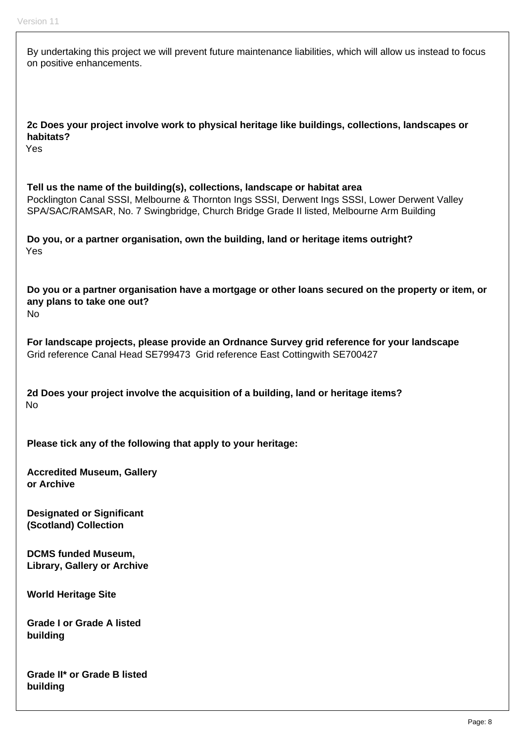| By undertaking this project we will prevent future maintenance liabilities, which will allow us instead to focus<br>on positive enhancements.                                                                                                                              |
|----------------------------------------------------------------------------------------------------------------------------------------------------------------------------------------------------------------------------------------------------------------------------|
| 2c Does your project involve work to physical heritage like buildings, collections, landscapes or<br>habitats?<br>Yes                                                                                                                                                      |
| Tell us the name of the building(s), collections, landscape or habitat area<br>Pocklington Canal SSSI, Melbourne & Thornton Ings SSSI, Derwent Ings SSSI, Lower Derwent Valley<br>SPA/SAC/RAMSAR, No. 7 Swingbridge, Church Bridge Grade II listed, Melbourne Arm Building |
| Do you, or a partner organisation, own the building, land or heritage items outright?<br>Yes                                                                                                                                                                               |
| Do you or a partner organisation have a mortgage or other loans secured on the property or item, or<br>any plans to take one out?<br><b>No</b>                                                                                                                             |
| For landscape projects, please provide an Ordnance Survey grid reference for your landscape<br>Grid reference Canal Head SE799473 Grid reference East Cottingwith SE700427                                                                                                 |
| 2d Does your project involve the acquisition of a building, land or heritage items?<br>No                                                                                                                                                                                  |
| Please tick any of the following that apply to your heritage:                                                                                                                                                                                                              |
| <b>Accredited Museum, Gallery</b><br>or Archive                                                                                                                                                                                                                            |
| <b>Designated or Significant</b><br>(Scotland) Collection                                                                                                                                                                                                                  |
| <b>DCMS funded Museum,</b><br><b>Library, Gallery or Archive</b>                                                                                                                                                                                                           |
| <b>World Heritage Site</b>                                                                                                                                                                                                                                                 |
| <b>Grade I or Grade A listed</b><br>building                                                                                                                                                                                                                               |
| Crode II* or Crode D lictod                                                                                                                                                                                                                                                |

**Grade II\* or Grade B listed building**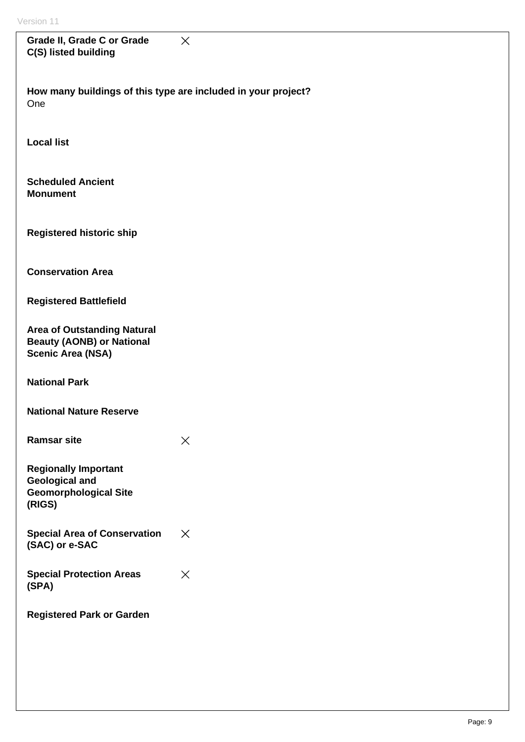| Grade II, Grade C or Grade<br>C(S) listed building                                                 | $\times$ |
|----------------------------------------------------------------------------------------------------|----------|
| How many buildings of this type are included in your project?<br>One                               |          |
| <b>Local list</b>                                                                                  |          |
| <b>Scheduled Ancient</b><br><b>Monument</b>                                                        |          |
| <b>Registered historic ship</b>                                                                    |          |
| <b>Conservation Area</b>                                                                           |          |
| <b>Registered Battlefield</b>                                                                      |          |
| <b>Area of Outstanding Natural</b><br><b>Beauty (AONB) or National</b><br><b>Scenic Area (NSA)</b> |          |
| <b>National Park</b>                                                                               |          |
| <b>National Nature Reserve</b>                                                                     |          |
| <b>Ramsar site</b>                                                                                 | $\times$ |
| <b>Regionally Important</b><br><b>Geological and</b><br><b>Geomorphological Site</b><br>(RIGS)     |          |
| <b>Special Area of Conservation</b><br>(SAC) or e-SAC                                              | $\times$ |
| <b>Special Protection Areas</b><br>(SPA)                                                           | $\times$ |
| <b>Registered Park or Garden</b>                                                                   |          |
|                                                                                                    |          |
|                                                                                                    |          |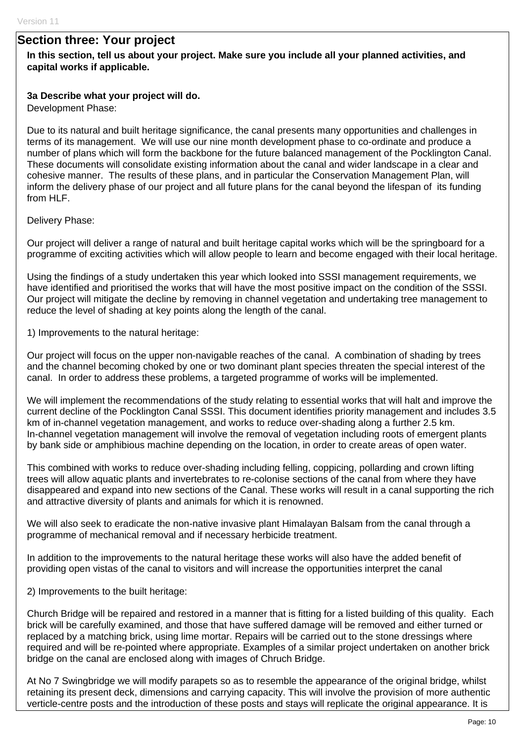## **Section three: Your project**

#### **In this section, tell us about your project. Make sure you include all your planned activities, and capital works if applicable.**

#### **3a Describe what your project will do.**

Development Phase:

Due to its natural and built heritage significance, the canal presents many opportunities and challenges in terms of its management. We will use our nine month development phase to co-ordinate and produce a number of plans which will form the backbone for the future balanced management of the Pocklington Canal. These documents will consolidate existing information about the canal and wider landscape in a clear and cohesive manner. The results of these plans, and in particular the Conservation Management Plan, will inform the delivery phase of our project and all future plans for the canal beyond the lifespan of its funding from HLF.

Delivery Phase:

Our project will deliver a range of natural and built heritage capital works which will be the springboard for a programme of exciting activities which will allow people to learn and become engaged with their local heritage.

Using the findings of a study undertaken this year which looked into SSSI management requirements, we have identified and prioritised the works that will have the most positive impact on the condition of the SSSI. Our project will mitigate the decline by removing in channel vegetation and undertaking tree management to reduce the level of shading at key points along the length of the canal.

1) Improvements to the natural heritage:

Our project will focus on the upper non-navigable reaches of the canal. A combination of shading by trees and the channel becoming choked by one or two dominant plant species threaten the special interest of the canal. In order to address these problems, a targeted programme of works will be implemented.

We will implement the recommendations of the study relating to essential works that will halt and improve the current decline of the Pocklington Canal SSSI. This document identifies priority management and includes 3.5 km of in-channel vegetation management, and works to reduce over-shading along a further 2.5 km. In-channel vegetation management will involve the removal of vegetation including roots of emergent plants by bank side or amphibious machine depending on the location, in order to create areas of open water.

This combined with works to reduce over-shading including felling, coppicing, pollarding and crown lifting trees will allow aquatic plants and invertebrates to re-colonise sections of the canal from where they have disappeared and expand into new sections of the Canal. These works will result in a canal supporting the rich and attractive diversity of plants and animals for which it is renowned.

We will also seek to eradicate the non-native invasive plant Himalayan Balsam from the canal through a programme of mechanical removal and if necessary herbicide treatment.

In addition to the improvements to the natural heritage these works will also have the added benefit of providing open vistas of the canal to visitors and will increase the opportunities interpret the canal

2) Improvements to the built heritage:

Church Bridge will be repaired and restored in a manner that is fitting for a listed building of this quality. Each brick will be carefully examined, and those that have suffered damage will be removed and either turned or replaced by a matching brick, using lime mortar. Repairs will be carried out to the stone dressings where required and will be re-pointed where appropriate. Examples of a similar project undertaken on another brick bridge on the canal are enclosed along with images of Chruch Bridge.

At No 7 Swingbridge we will modify parapets so as to resemble the appearance of the original bridge, whilst retaining its present deck, dimensions and carrying capacity. This will involve the provision of more authentic verticle-centre posts and the introduction of these posts and stays will replicate the original appearance. It is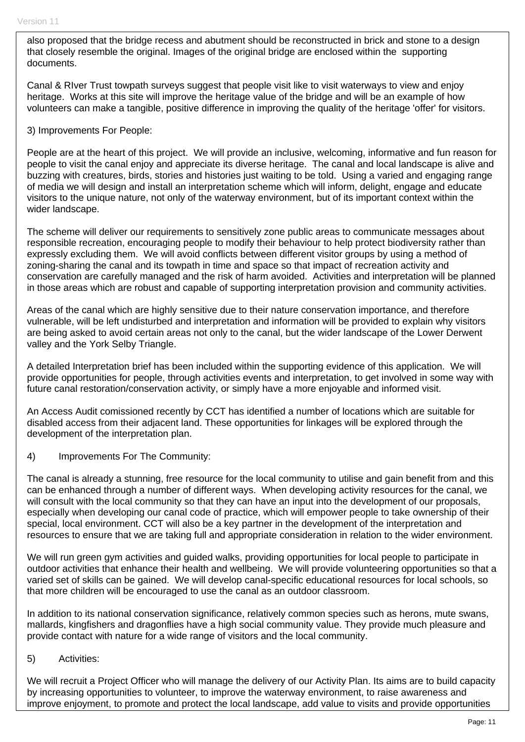also proposed that the bridge recess and abutment should be reconstructed in brick and stone to a design that closely resemble the original. Images of the original bridge are enclosed within the supporting documents.

Canal & RIver Trust towpath surveys suggest that people visit like to visit waterways to view and enjoy heritage. Works at this site will improve the heritage value of the bridge and will be an example of how volunteers can make a tangible, positive difference in improving the quality of the heritage 'offer' for visitors.

#### 3) Improvements For People:

People are at the heart of this project. We will provide an inclusive, welcoming, informative and fun reason for people to visit the canal enjoy and appreciate its diverse heritage. The canal and local landscape is alive and buzzing with creatures, birds, stories and histories just waiting to be told. Using a varied and engaging range of media we will design and install an interpretation scheme which will inform, delight, engage and educate visitors to the unique nature, not only of the waterway environment, but of its important context within the wider landscape.

The scheme will deliver our requirements to sensitively zone public areas to communicate messages about responsible recreation, encouraging people to modify their behaviour to help protect biodiversity rather than expressly excluding them. We will avoid conflicts between different visitor groups by using a method of zoning-sharing the canal and its towpath in time and space so that impact of recreation activity and conservation are carefully managed and the risk of harm avoided. Activities and interpretation will be planned in those areas which are robust and capable of supporting interpretation provision and community activities.

Areas of the canal which are highly sensitive due to their nature conservation importance, and therefore vulnerable, will be left undisturbed and interpretation and information will be provided to explain why visitors are being asked to avoid certain areas not only to the canal, but the wider landscape of the Lower Derwent valley and the York Selby Triangle.

A detailed Interpretation brief has been included within the supporting evidence of this application. We will provide opportunities for people, through activities events and interpretation, to get involved in some way with future canal restoration/conservation activity, or simply have a more enjoyable and informed visit.

An Access Audit comissioned recently by CCT has identified a number of locations which are suitable for disabled access from their adjacent land. These opportunities for linkages will be explored through the development of the interpretation plan.

4) Improvements For The Community:

The canal is already a stunning, free resource for the local community to utilise and gain benefit from and this can be enhanced through a number of different ways. When developing activity resources for the canal, we will consult with the local community so that they can have an input into the development of our proposals, especially when developing our canal code of practice, which will empower people to take ownership of their special, local environment. CCT will also be a key partner in the development of the interpretation and resources to ensure that we are taking full and appropriate consideration in relation to the wider environment.

We will run green gym activities and guided walks, providing opportunities for local people to participate in outdoor activities that enhance their health and wellbeing. We will provide volunteering opportunities so that a varied set of skills can be gained. We will develop canal-specific educational resources for local schools, so that more children will be encouraged to use the canal as an outdoor classroom.

In addition to its national conservation significance, relatively common species such as herons, mute swans, mallards, kingfishers and dragonflies have a high social community value. They provide much pleasure and provide contact with nature for a wide range of visitors and the local community.

#### 5) Activities:

We will recruit a Project Officer who will manage the delivery of our Activity Plan. Its aims are to build capacity by increasing opportunities to volunteer, to improve the waterway environment, to raise awareness and improve enjoyment, to promote and protect the local landscape, add value to visits and provide opportunities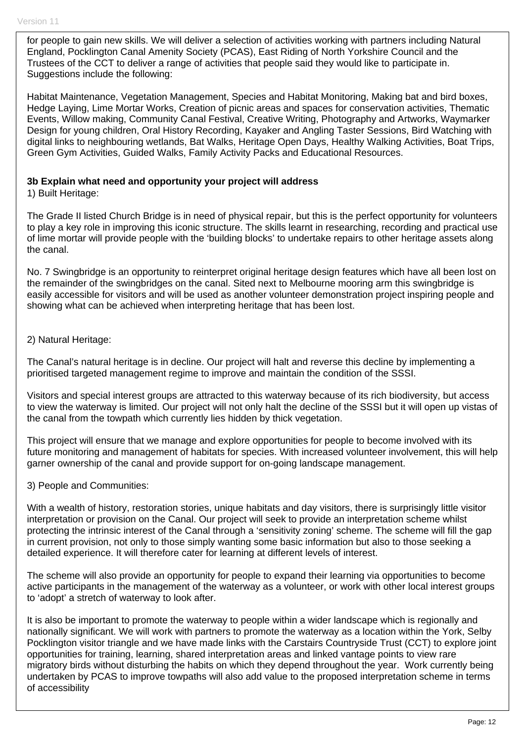for people to gain new skills. We will deliver a selection of activities working with partners including Natural England, Pocklington Canal Amenity Society (PCAS), East Riding of North Yorkshire Council and the Trustees of the CCT to deliver a range of activities that people said they would like to participate in. Suggestions include the following:

Habitat Maintenance, Vegetation Management, Species and Habitat Monitoring, Making bat and bird boxes, Hedge Laying, Lime Mortar Works, Creation of picnic areas and spaces for conservation activities, Thematic Events, Willow making, Community Canal Festival, Creative Writing, Photography and Artworks, Waymarker Design for young children, Oral History Recording, Kayaker and Angling Taster Sessions, Bird Watching with digital links to neighbouring wetlands, Bat Walks, Heritage Open Days, Healthy Walking Activities, Boat Trips, Green Gym Activities, Guided Walks, Family Activity Packs and Educational Resources.

#### **3b Explain what need and opportunity your project will address**

1) Built Heritage:

The Grade II listed Church Bridge is in need of physical repair, but this is the perfect opportunity for volunteers to play a key role in improving this iconic structure. The skills learnt in researching, recording and practical use of lime mortar will provide people with the 'building blocks' to undertake repairs to other heritage assets along the canal.

No. 7 Swingbridge is an opportunity to reinterpret original heritage design features which have all been lost on the remainder of the swingbridges on the canal. Sited next to Melbourne mooring arm this swingbridge is easily accessible for visitors and will be used as another volunteer demonstration project inspiring people and showing what can be achieved when interpreting heritage that has been lost.

2) Natural Heritage:

The Canal's natural heritage is in decline. Our project will halt and reverse this decline by implementing a prioritised targeted management regime to improve and maintain the condition of the SSSI.

Visitors and special interest groups are attracted to this waterway because of its rich biodiversity, but access to view the waterway is limited. Our project will not only halt the decline of the SSSI but it will open up vistas of the canal from the towpath which currently lies hidden by thick vegetation.

This project will ensure that we manage and explore opportunities for people to become involved with its future monitoring and management of habitats for species. With increased volunteer involvement, this will help garner ownership of the canal and provide support for on-going landscape management.

#### 3) People and Communities:

With a wealth of history, restoration stories, unique habitats and day visitors, there is surprisingly little visitor interpretation or provision on the Canal. Our project will seek to provide an interpretation scheme whilst protecting the intrinsic interest of the Canal through a 'sensitivity zoning' scheme. The scheme will fill the gap in current provision, not only to those simply wanting some basic information but also to those seeking a detailed experience. It will therefore cater for learning at different levels of interest.

The scheme will also provide an opportunity for people to expand their learning via opportunities to become active participants in the management of the waterway as a volunteer, or work with other local interest groups to 'adopt' a stretch of waterway to look after.

It is also be important to promote the waterway to people within a wider landscape which is regionally and nationally significant. We will work with partners to promote the waterway as a location within the York, Selby Pocklington visitor triangle and we have made links with the Carstairs Countryside Trust (CCT) to explore joint opportunities for training, learning, shared interpretation areas and linked vantage points to view rare migratory birds without disturbing the habits on which they depend throughout the year. Work currently being undertaken by PCAS to improve towpaths will also add value to the proposed interpretation scheme in terms of accessibility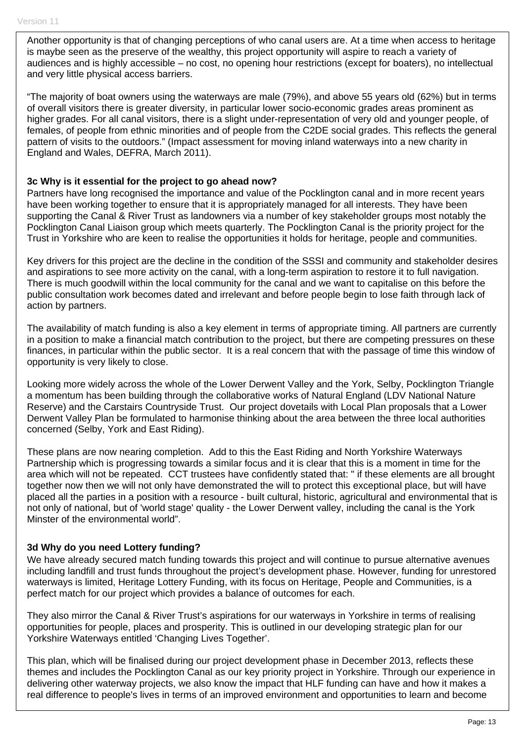Another opportunity is that of changing perceptions of who canal users are. At a time when access to heritage is maybe seen as the preserve of the wealthy, this project opportunity will aspire to reach a variety of audiences and is highly accessible – no cost, no opening hour restrictions (except for boaters), no intellectual and very little physical access barriers.

"The majority of boat owners using the waterways are male (79%), and above 55 years old (62%) but in terms of overall visitors there is greater diversity, in particular lower socio-economic grades areas prominent as higher grades. For all canal visitors, there is a slight under-representation of very old and younger people, of females, of people from ethnic minorities and of people from the C2DE social grades. This reflects the general pattern of visits to the outdoors." (Impact assessment for moving inland waterways into a new charity in England and Wales, DEFRA, March 2011).

#### **3c Why is it essential for the project to go ahead now?**

Partners have long recognised the importance and value of the Pocklington canal and in more recent years have been working together to ensure that it is appropriately managed for all interests. They have been supporting the Canal & River Trust as landowners via a number of key stakeholder groups most notably the Pocklington Canal Liaison group which meets quarterly. The Pocklington Canal is the priority project for the Trust in Yorkshire who are keen to realise the opportunities it holds for heritage, people and communities.

Key drivers for this project are the decline in the condition of the SSSI and community and stakeholder desires and aspirations to see more activity on the canal, with a long-term aspiration to restore it to full navigation. There is much goodwill within the local community for the canal and we want to capitalise on this before the public consultation work becomes dated and irrelevant and before people begin to lose faith through lack of action by partners.

The availability of match funding is also a key element in terms of appropriate timing. All partners are currently in a position to make a financial match contribution to the project, but there are competing pressures on these finances, in particular within the public sector. It is a real concern that with the passage of time this window of opportunity is very likely to close.

Looking more widely across the whole of the Lower Derwent Valley and the York, Selby, Pocklington Triangle a momentum has been building through the collaborative works of Natural England (LDV National Nature Reserve) and the Carstairs Countryside Trust. Our project dovetails with Local Plan proposals that a Lower Derwent Valley Plan be formulated to harmonise thinking about the area between the three local authorities concerned (Selby, York and East Riding).

These plans are now nearing completion. Add to this the East Riding and North Yorkshire Waterways Partnership which is progressing towards a similar focus and it is clear that this is a moment in time for the area which will not be repeated. CCT trustees have confidently stated that: " if these elements are all brought together now then we will not only have demonstrated the will to protect this exceptional place, but will have placed all the parties in a position with a resource - built cultural, historic, agricultural and environmental that is not only of national, but of 'world stage' quality - the Lower Derwent valley, including the canal is the York Minster of the environmental world".

#### **3d Why do you need Lottery funding?**

We have already secured match funding towards this project and will continue to pursue alternative avenues including landfill and trust funds throughout the project's development phase. However, funding for unrestored waterways is limited, Heritage Lottery Funding, with its focus on Heritage, People and Communities, is a perfect match for our project which provides a balance of outcomes for each.

They also mirror the Canal & River Trust's aspirations for our waterways in Yorkshire in terms of realising opportunities for people, places and prosperity. This is outlined in our developing strategic plan for our Yorkshire Waterways entitled 'Changing Lives Together'.

This plan, which will be finalised during our project development phase in December 2013, reflects these themes and includes the Pocklington Canal as our key priority project in Yorkshire. Through our experience in delivering other waterway projects, we also know the impact that HLF funding can have and how it makes a real difference to people's lives in terms of an improved environment and opportunities to learn and become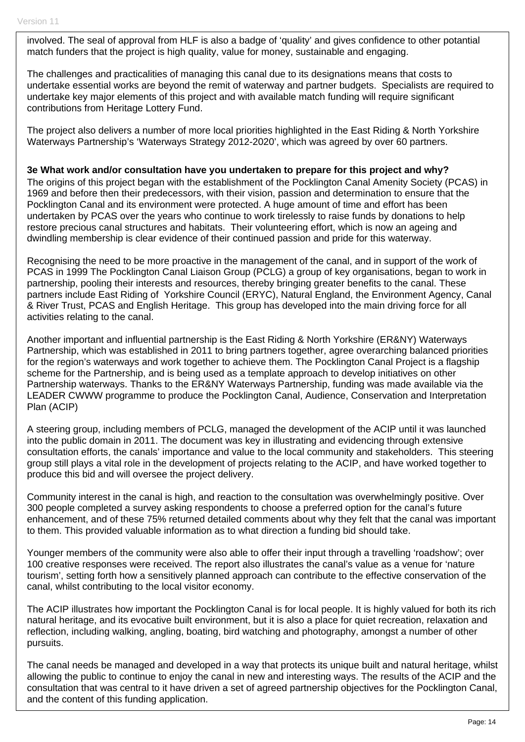involved. The seal of approval from HLF is also a badge of 'quality' and gives confidence to other potantial match funders that the project is high quality, value for money, sustainable and engaging.

The challenges and practicalities of managing this canal due to its designations means that costs to undertake essential works are beyond the remit of waterway and partner budgets. Specialists are required to undertake key major elements of this project and with available match funding will require significant contributions from Heritage Lottery Fund.

The project also delivers a number of more local priorities highlighted in the East Riding & North Yorkshire Waterways Partnership's 'Waterways Strategy 2012-2020', which was agreed by over 60 partners.

**3e What work and/or consultation have you undertaken to prepare for this project and why?**  The origins of this project began with the establishment of the Pocklington Canal Amenity Society (PCAS) in 1969 and before then their predecessors, with their vision, passion and determination to ensure that the Pocklington Canal and its environment were protected. A huge amount of time and effort has been undertaken by PCAS over the years who continue to work tirelessly to raise funds by donations to help restore precious canal structures and habitats. Their volunteering effort, which is now an ageing and

dwindling membership is clear evidence of their continued passion and pride for this waterway.

Recognising the need to be more proactive in the management of the canal, and in support of the work of PCAS in 1999 The Pocklington Canal Liaison Group (PCLG) a group of key organisations, began to work in partnership, pooling their interests and resources, thereby bringing greater benefits to the canal. These partners include East Riding of Yorkshire Council (ERYC), Natural England, the Environment Agency, Canal & River Trust, PCAS and English Heritage. This group has developed into the main driving force for all activities relating to the canal.

Another important and influential partnership is the East Riding & North Yorkshire (ER&NY) Waterways Partnership, which was established in 2011 to bring partners together, agree overarching balanced priorities for the region's waterways and work together to achieve them. The Pocklington Canal Project is a flagship scheme for the Partnership, and is being used as a template approach to develop initiatives on other Partnership waterways. Thanks to the ER&NY Waterways Partnership, funding was made available via the LEADER CWWW programme to produce the Pocklington Canal, Audience, Conservation and Interpretation Plan (ACIP)

A steering group, including members of PCLG, managed the development of the ACIP until it was launched into the public domain in 2011. The document was key in illustrating and evidencing through extensive consultation efforts, the canals' importance and value to the local community and stakeholders. This steering group still plays a vital role in the development of projects relating to the ACIP, and have worked together to produce this bid and will oversee the project delivery.

Community interest in the canal is high, and reaction to the consultation was overwhelmingly positive. Over 300 people completed a survey asking respondents to choose a preferred option for the canal's future enhancement, and of these 75% returned detailed comments about why they felt that the canal was important to them. This provided valuable information as to what direction a funding bid should take.

Younger members of the community were also able to offer their input through a travelling 'roadshow'; over 100 creative responses were received. The report also illustrates the canal's value as a venue for 'nature tourism', setting forth how a sensitively planned approach can contribute to the effective conservation of the canal, whilst contributing to the local visitor economy.

The ACIP illustrates how important the Pocklington Canal is for local people. It is highly valued for both its rich natural heritage, and its evocative built environment, but it is also a place for quiet recreation, relaxation and reflection, including walking, angling, boating, bird watching and photography, amongst a number of other pursuits.

The canal needs be managed and developed in a way that protects its unique built and natural heritage, whilst allowing the public to continue to enjoy the canal in new and interesting ways. The results of the ACIP and the consultation that was central to it have driven a set of agreed partnership objectives for the Pocklington Canal, and the content of this funding application.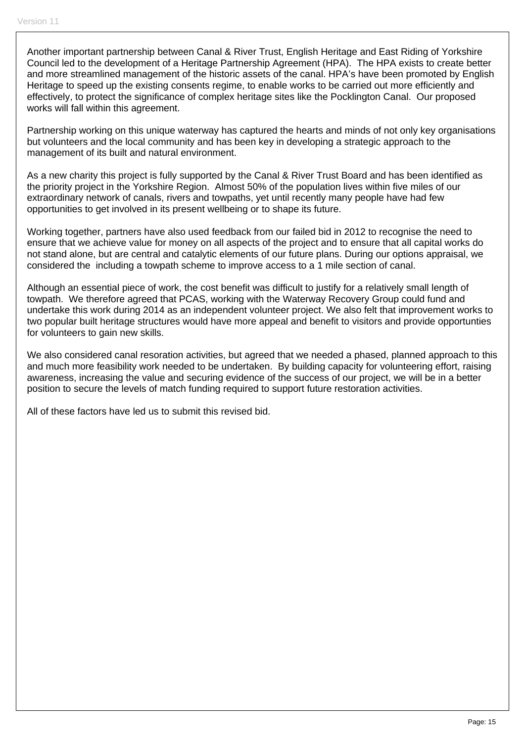Another important partnership between Canal & River Trust, English Heritage and East Riding of Yorkshire Council led to the development of a Heritage Partnership Agreement (HPA). The HPA exists to create better and more streamlined management of the historic assets of the canal. HPA's have been promoted by English Heritage to speed up the existing consents regime, to enable works to be carried out more efficiently and effectively, to protect the significance of complex heritage sites like the Pocklington Canal. Our proposed works will fall within this agreement.

Partnership working on this unique waterway has captured the hearts and minds of not only key organisations but volunteers and the local community and has been key in developing a strategic approach to the management of its built and natural environment.

As a new charity this project is fully supported by the Canal & River Trust Board and has been identified as the priority project in the Yorkshire Region. Almost 50% of the population lives within five miles of our extraordinary network of canals, rivers and towpaths, yet until recently many people have had few opportunities to get involved in its present wellbeing or to shape its future.

Working together, partners have also used feedback from our failed bid in 2012 to recognise the need to ensure that we achieve value for money on all aspects of the project and to ensure that all capital works do not stand alone, but are central and catalytic elements of our future plans. During our options appraisal, we considered the including a towpath scheme to improve access to a 1 mile section of canal.

Although an essential piece of work, the cost benefit was difficult to justify for a relatively small length of towpath. We therefore agreed that PCAS, working with the Waterway Recovery Group could fund and undertake this work during 2014 as an independent volunteer project. We also felt that improvement works to two popular built heritage structures would have more appeal and benefit to visitors and provide opportunties for volunteers to gain new skills.

We also considered canal resoration activities, but agreed that we needed a phased, planned approach to this and much more feasibility work needed to be undertaken. By building capacity for volunteering effort, raising awareness, increasing the value and securing evidence of the success of our project, we will be in a better position to secure the levels of match funding required to support future restoration activities.

All of these factors have led us to submit this revised bid.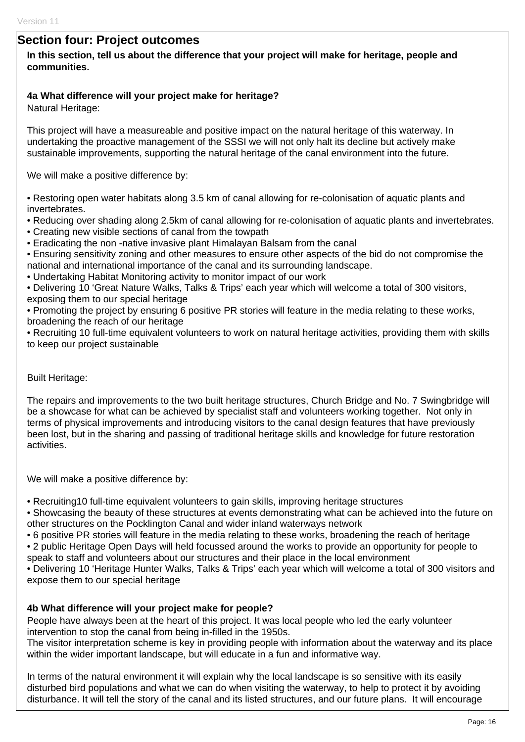### **Section four: Project outcomes**

#### **In this section, tell us about the difference that your project will make for heritage, people and communities.**

#### **4a What difference will your project make for heritage?**

Natural Heritage:

This project will have a measureable and positive impact on the natural heritage of this waterway. In undertaking the proactive management of the SSSI we will not only halt its decline but actively make sustainable improvements, supporting the natural heritage of the canal environment into the future.

We will make a positive difference by:

• Restoring open water habitats along 3.5 km of canal allowing for re-colonisation of aquatic plants and invertebrates.

• Reducing over shading along 2.5km of canal allowing for re-colonisation of aquatic plants and invertebrates.

- Creating new visible sections of canal from the towpath
- Eradicating the non -native invasive plant Himalayan Balsam from the canal

• Ensuring sensitivity zoning and other measures to ensure other aspects of the bid do not compromise the national and international importance of the canal and its surrounding landscape.

• Undertaking Habitat Monitoring activity to monitor impact of our work

• Delivering 10 'Great Nature Walks, Talks & Trips' each year which will welcome a total of 300 visitors, exposing them to our special heritage

• Promoting the project by ensuring 6 positive PR stories will feature in the media relating to these works, broadening the reach of our heritage

• Recruiting 10 full-time equivalent volunteers to work on natural heritage activities, providing them with skills to keep our project sustainable

#### Built Heritage:

The repairs and improvements to the two built heritage structures, Church Bridge and No. 7 Swingbridge will be a showcase for what can be achieved by specialist staff and volunteers working together. Not only in terms of physical improvements and introducing visitors to the canal design features that have previously been lost, but in the sharing and passing of traditional heritage skills and knowledge for future restoration activities.

We will make a positive difference by:

• Recruiting10 full-time equivalent volunteers to gain skills, improving heritage structures

• Showcasing the beauty of these structures at events demonstrating what can be achieved into the future on other structures on the Pocklington Canal and wider inland waterways network

• 6 positive PR stories will feature in the media relating to these works, broadening the reach of heritage

• 2 public Heritage Open Days will held focussed around the works to provide an opportunity for people to speak to staff and volunteers about our structures and their place in the local environment

• Delivering 10 'Heritage Hunter Walks, Talks & Trips' each year which will welcome a total of 300 visitors and expose them to our special heritage

#### **4b What difference will your project make for people?**

People have always been at the heart of this project. It was local people who led the early volunteer intervention to stop the canal from being in-filled in the 1950s.

The visitor interpretation scheme is key in providing people with information about the waterway and its place within the wider important landscape, but will educate in a fun and informative way.

In terms of the natural environment it will explain why the local landscape is so sensitive with its easily disturbed bird populations and what we can do when visiting the waterway, to help to protect it by avoiding disturbance. It will tell the story of the canal and its listed structures, and our future plans. It will encourage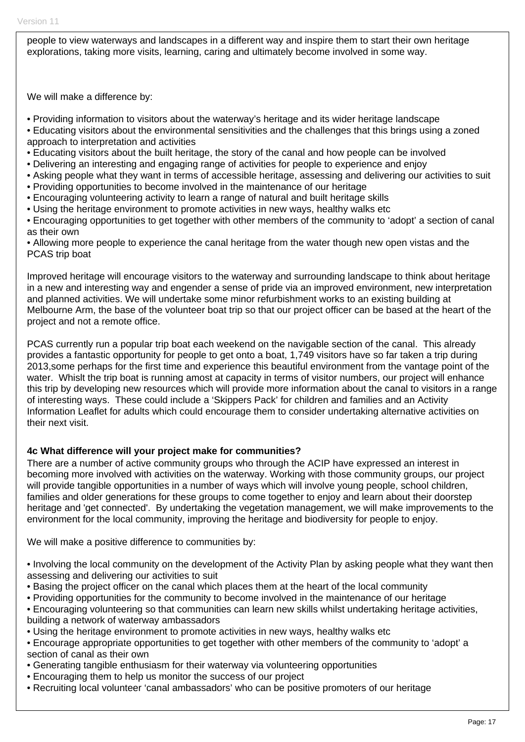people to view waterways and landscapes in a different way and inspire them to start their own heritage explorations, taking more visits, learning, caring and ultimately become involved in some way.

We will make a difference by:

- Providing information to visitors about the waterway's heritage and its wider heritage landscape
- Educating visitors about the environmental sensitivities and the challenges that this brings using a zoned approach to interpretation and activities
- Educating visitors about the built heritage, the story of the canal and how people can be involved
- Delivering an interesting and engaging range of activities for people to experience and enjoy
- Asking people what they want in terms of accessible heritage, assessing and delivering our activities to suit
- Providing opportunities to become involved in the maintenance of our heritage
- Encouraging volunteering activity to learn a range of natural and built heritage skills
- Using the heritage environment to promote activities in new ways, healthy walks etc
- Encouraging opportunities to get together with other members of the community to 'adopt' a section of canal as their own

• Allowing more people to experience the canal heritage from the water though new open vistas and the PCAS trip boat

Improved heritage will encourage visitors to the waterway and surrounding landscape to think about heritage in a new and interesting way and engender a sense of pride via an improved environment, new interpretation and planned activities. We will undertake some minor refurbishment works to an existing building at Melbourne Arm, the base of the volunteer boat trip so that our project officer can be based at the heart of the project and not a remote office.

PCAS currently run a popular trip boat each weekend on the navigable section of the canal. This already provides a fantastic opportunity for people to get onto a boat, 1,749 visitors have so far taken a trip during 2013,some perhaps for the first time and experience this beautiful environment from the vantage point of the water. Whislt the trip boat is running amost at capacity in terms of visitor numbers, our project will enhance this trip by developing new resources which will provide more information about the canal to visitors in a range of interesting ways. These could include a 'Skippers Pack' for children and families and an Activity Information Leaflet for adults which could encourage them to consider undertaking alternative activities on their next visit.

#### **4c What difference will your project make for communities?**

There are a number of active community groups who through the ACIP have expressed an interest in becoming more involved with activities on the waterway. Working with those community groups, our project will provide tangible opportunities in a number of ways which will involve young people, school children, families and older generations for these groups to come together to enjoy and learn about their doorstep heritage and 'get connected'. By undertaking the vegetation management, we will make improvements to the environment for the local community, improving the heritage and biodiversity for people to enjoy.

We will make a positive difference to communities by:

• Involving the local community on the development of the Activity Plan by asking people what they want then assessing and delivering our activities to suit

- Basing the project officer on the canal which places them at the heart of the local community
- Providing opportunities for the community to become involved in the maintenance of our heritage
- Encouraging volunteering so that communities can learn new skills whilst undertaking heritage activities, building a network of waterway ambassadors
- Using the heritage environment to promote activities in new ways, healthy walks etc
- Encourage appropriate opportunities to get together with other members of the community to 'adopt' a section of canal as their own
- Generating tangible enthusiasm for their waterway via volunteering opportunities
- Encouraging them to help us monitor the success of our project
- Recruiting local volunteer 'canal ambassadors' who can be positive promoters of our heritage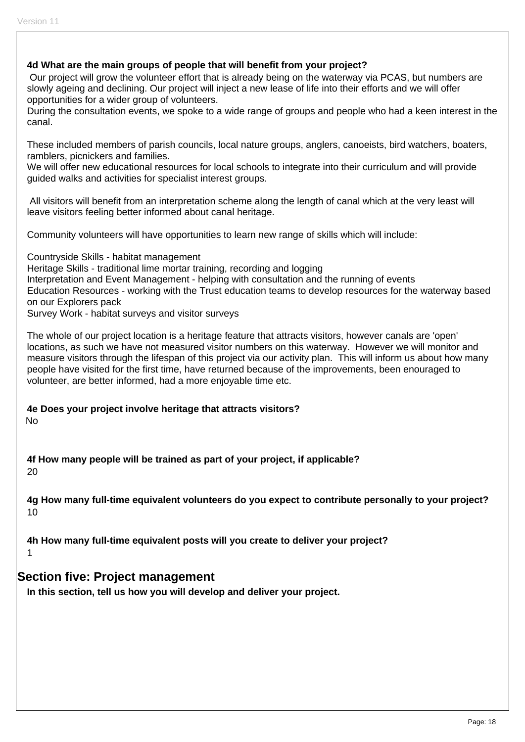**4d What are the main groups of people that will benefit from your project?**  Our project will grow the volunteer effort that is already being on the waterway via PCAS, but numbers are slowly ageing and declining. Our project will inject a new lease of life into their efforts and we will offer opportunities for a wider group of volunteers. During the consultation events, we spoke to a wide range of groups and people who had a keen interest in the canal. These included members of parish councils, local nature groups, anglers, canoeists, bird watchers, boaters, ramblers, picnickers and families. We will offer new educational resources for local schools to integrate into their curriculum and will provide guided walks and activities for specialist interest groups. All visitors will benefit from an interpretation scheme along the length of canal which at the very least will leave visitors feeling better informed about canal heritage. Community volunteers will have opportunities to learn new range of skills which will include: Countryside Skills - habitat management Heritage Skills - traditional lime mortar training, recording and logging Interpretation and Event Management - helping with consultation and the running of events Education Resources - working with the Trust education teams to develop resources for the waterway based on our Explorers pack Survey Work - habitat surveys and visitor surveys The whole of our project location is a heritage feature that attracts visitors, however canals are 'open' locations, as such we have not measured visitor numbers on this waterway. However we will monitor and measure visitors through the lifespan of this project via our activity plan. This will inform us about how many people have visited for the first time, have returned because of the improvements, been enouraged to volunteer, are better informed, had a more enjoyable time etc. **4e Does your project involve heritage that attracts visitors?**  No **4f How many people will be trained as part of your project, if applicable?** 

20

**4g How many full-time equivalent volunteers do you expect to contribute personally to your project?**  10

**4h How many full-time equivalent posts will you create to deliver your project?**  1

## **Section five: Project management**

**In this section, tell us how you will develop and deliver your project.**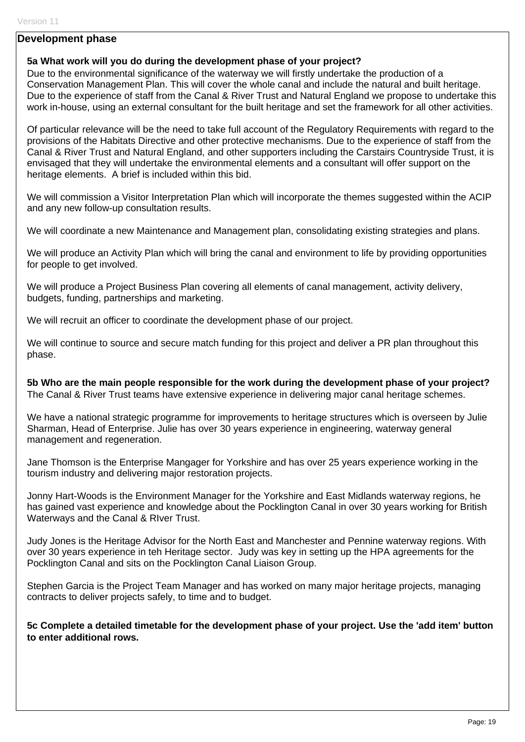#### **Development phase**

#### **5a What work will you do during the development phase of your project?**

Due to the environmental significance of the waterway we will firstly undertake the production of a Conservation Management Plan. This will cover the whole canal and include the natural and built heritage. Due to the experience of staff from the Canal & River Trust and Natural England we propose to undertake this work in-house, using an external consultant for the built heritage and set the framework for all other activities.

Of particular relevance will be the need to take full account of the Regulatory Requirements with regard to the provisions of the Habitats Directive and other protective mechanisms. Due to the experience of staff from the Canal & River Trust and Natural England, and other supporters including the Carstairs Countryside Trust, it is envisaged that they will undertake the environmental elements and a consultant will offer support on the heritage elements. A brief is included within this bid.

We will commission a Visitor Interpretation Plan which will incorporate the themes suggested within the ACIP and any new follow-up consultation results.

We will coordinate a new Maintenance and Management plan, consolidating existing strategies and plans.

We will produce an Activity Plan which will bring the canal and environment to life by providing opportunities for people to get involved.

We will produce a Project Business Plan covering all elements of canal management, activity delivery, budgets, funding, partnerships and marketing.

We will recruit an officer to coordinate the development phase of our project.

We will continue to source and secure match funding for this project and deliver a PR plan throughout this phase.

**5b Who are the main people responsible for the work during the development phase of your project?**  The Canal & River Trust teams have extensive experience in delivering major canal heritage schemes.

We have a national strategic programme for improvements to heritage structures which is overseen by Julie Sharman, Head of Enterprise. Julie has over 30 years experience in engineering, waterway general management and regeneration.

Jane Thomson is the Enterprise Mangager for Yorkshire and has over 25 years experience working in the tourism industry and delivering major restoration projects.

Jonny Hart-Woods is the Environment Manager for the Yorkshire and East Midlands waterway regions, he has gained vast experience and knowledge about the Pocklington Canal in over 30 years working for British Waterways and the Canal & RIver Trust.

Judy Jones is the Heritage Advisor for the North East and Manchester and Pennine waterway regions. With over 30 years experience in teh Heritage sector. Judy was key in setting up the HPA agreements for the Pocklington Canal and sits on the Pocklington Canal Liaison Group.

Stephen Garcia is the Project Team Manager and has worked on many major heritage projects, managing contracts to deliver projects safely, to time and to budget.

**5c Complete a detailed timetable for the development phase of your project. Use the 'add item' button to enter additional rows.**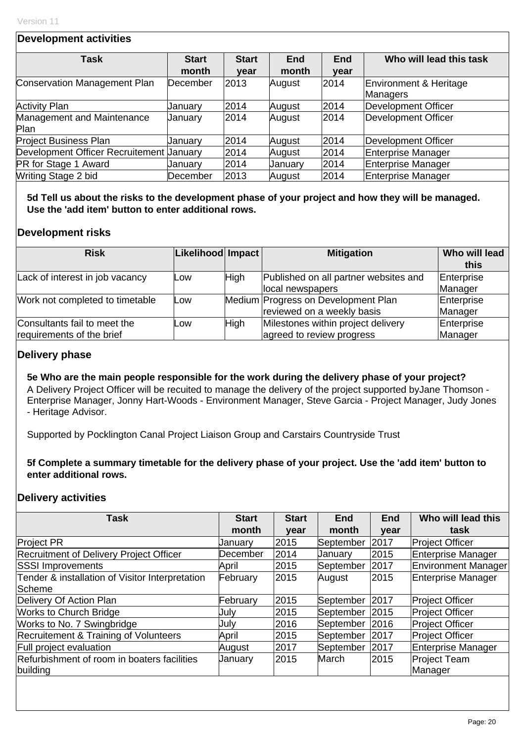#### **Development activities**

| <b>Task</b>                              | <b>Start</b> | <b>Start</b> | <b>End</b> | <b>End</b> | Who will lead this task    |
|------------------------------------------|--------------|--------------|------------|------------|----------------------------|
|                                          | month        | year         | month      | year       |                            |
| Conservation Management Plan             | December     | 2013         | August     | 2014       | Environment & Heritage     |
|                                          |              |              |            |            | Managers                   |
| <b>Activity Plan</b>                     | Januarv      | 2014         | August     | 2014       | <b>Development Officer</b> |
| Management and Maintenance               | January      | 2014         | August     | 2014       | Development Officer        |
| Plan                                     |              |              |            |            |                            |
| <b>Project Business Plan</b>             | Uanuary      | 2014         | August     | 2014       | Development Officer        |
| Development Officer Recruitement Uanuary |              | 2014         | August     | 2014       | Enterprise Manager         |
| PR for Stage 1 Award                     | January      | 2014         | January    | 2014       | Enterprise Manager         |
| Writing Stage 2 bid                      | December     | 2013         | August     | 2014       | Enterprise Manager         |

**5d Tell us about the risks to the development phase of your project and how they will be managed. Use the 'add item' button to enter additional rows.** 

#### **Development risks**

| <b>Risk</b>                     | Likelihood Impact |             | <b>Mitigation</b>                     | Who will lead |
|---------------------------------|-------------------|-------------|---------------------------------------|---------------|
|                                 |                   |             |                                       | this          |
| Lack of interest in job vacancy | Low               | <b>High</b> | Published on all partner websites and | Enterprise    |
|                                 |                   |             | local newspapers                      | Manager       |
| Work not completed to timetable | Low               |             | Medium Progress on Development Plan   | Enterprise    |
|                                 |                   |             | reviewed on a weekly basis            | Manager       |
| Consultants fail to meet the    | Low               | High        | Milestones within project delivery    | Enterprise    |
| requirements of the brief       |                   |             | agreed to review progress             | Manager       |

## **Delivery phase**

**5e Who are the main people responsible for the work during the delivery phase of your project?**  A Delivery Project Officer will be recuited to manage the delivery of the project supported byJane Thomson - Enterprise Manager, Jonny Hart-Woods - Environment Manager, Steve Garcia - Project Manager, Judy Jones - Heritage Advisor.

Supported by Pocklington Canal Project Liaison Group and Carstairs Countryside Trust

**5f Complete a summary timetable for the delivery phase of your project. Use the 'add item' button to enter additional rows.** 

#### **Delivery activities**

| Task                                             | <b>Start</b> | <b>Start</b> | <b>End</b> | <b>End</b> | Who will lead this         |
|--------------------------------------------------|--------------|--------------|------------|------------|----------------------------|
|                                                  | month        | year         | month      | year       | task                       |
| <b>Project PR</b>                                | January      | 2015         | September  | 2017       | <b>Project Officer</b>     |
| Recruitment of Delivery Project Officer          | December     | 2014         | January    | 2015       | Enterprise Manager         |
| <b>SSSI Improvements</b>                         | April        | 2015         | September  | 2017       | <b>Environment Manager</b> |
| Tender & installation of Visitor Interpretation  | February     | 2015         | August     | 2015       | Enterprise Manager         |
| IScheme                                          |              |              |            |            |                            |
| Delivery Of Action Plan                          | February     | 2015         | September  | 2017       | <b>Project Officer</b>     |
| <b>Works to Church Bridge</b>                    | July         | 2015         | September  | 2015       | Project Officer            |
| Works to No. 7 Swingbridge                       | July         | 2016         | September  | 2016       | <b>Project Officer</b>     |
| <b>Recruitement &amp; Training of Volunteers</b> | April        | 2015         | September  | 2017       | <b>Project Officer</b>     |
| <b>Full project evaluation</b>                   | August       | 2017         | September  | 2017       | Enterprise Manager         |
| Refurbishment of room in boaters facilities      | January      | 2015         | March      | 2015       | Project Team               |
| building                                         |              |              |            |            | Manager                    |
|                                                  |              |              |            |            |                            |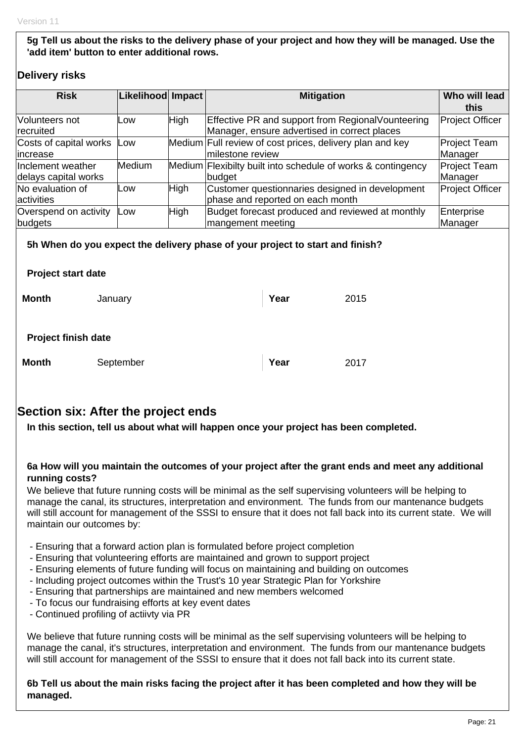**5g Tell us about the risks to the delivery phase of your project and how they will be managed. Use the 'add item' button to enter additional rows.** 

### **Delivery risks**

| <b>Risk</b>                               | Likelihood Impact |             | <b>Mitigation</b>                                                                                  | Who will lead<br>this          |
|-------------------------------------------|-------------------|-------------|----------------------------------------------------------------------------------------------------|--------------------------------|
| Volunteers not<br>recruited               | Low               | <b>High</b> | Effective PR and support from Regional Vounteering<br>Manager, ensure advertised in correct places | <b>Project Officer</b>         |
| Costs of capital works<br>increase        | Low               |             | Medium Full review of cost prices, delivery plan and key<br>milestone review                       | <b>Project Team</b><br>Manager |
| Inclement weather<br>delays capital works | <b>Medium</b>     |             | Medium Flexibilty built into schedule of works & contingency<br>budget                             | <b>Project Team</b><br>Manager |
| No evaluation of<br>activities            | Low               | <b>High</b> | Customer questionnaries designed in development<br>phase and reported on each month                | <b>Project Officer</b>         |
| Overspend on activity<br>budgets          | Low               | <b>High</b> | Budget forecast produced and reviewed at monthly<br>mangement meeting                              | Enterprise<br>Manager          |
| <b>Project start date</b>                 |                   |             | 5h When do you expect the delivery phase of your project to start and finish?                      |                                |
| <b>Month</b><br>January                   |                   |             | Year<br>2015                                                                                       |                                |

#### **Project finish date**

| <b>Month</b><br>September | $\vert$ Year | 2017 |
|---------------------------|--------------|------|
|---------------------------|--------------|------|

## **Section six: After the project ends**

**In this section, tell us about what will happen once your project has been completed.** 

#### **6a How will you maintain the outcomes of your project after the grant ends and meet any additional running costs?**

We believe that future running costs will be minimal as the self supervising volunteers will be helping to manage the canal, its structures, interpretation and environment. The funds from our mantenance budgets will still account for management of the SSSI to ensure that it does not fall back into its current state. We will maintain our outcomes by:

- Ensuring that a forward action plan is formulated before project completion
- Ensuring that volunteering efforts are maintained and grown to support project
- Ensuring elements of future funding will focus on maintaining and building on outcomes
- Including project outcomes within the Trust's 10 year Strategic Plan for Yorkshire
- Ensuring that partnerships are maintained and new members welcomed
- To focus our fundraising efforts at key event dates
- Continued profiling of actiivty via PR

We believe that future running costs will be minimal as the self supervising volunteers will be helping to manage the canal, it's structures, interpretation and environment. The funds from our mantenance budgets will still account for management of the SSSI to ensure that it does not fall back into its current state.

#### **6b Tell us about the main risks facing the project after it has been completed and how they will be managed.**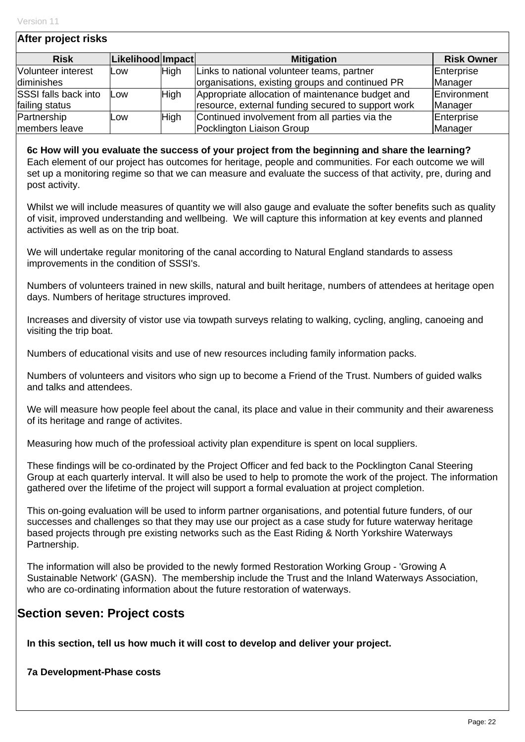| After project risks |             |                   |                                                                                                                                                                                                                                                                                                             |
|---------------------|-------------|-------------------|-------------------------------------------------------------------------------------------------------------------------------------------------------------------------------------------------------------------------------------------------------------------------------------------------------------|
|                     |             | <b>Mitigation</b> | <b>Risk Owner</b>                                                                                                                                                                                                                                                                                           |
| Low                 |             |                   | Enterprise                                                                                                                                                                                                                                                                                                  |
|                     |             |                   | Manager                                                                                                                                                                                                                                                                                                     |
| Low                 | <b>High</b> |                   | Environment<br>Manager                                                                                                                                                                                                                                                                                      |
| Low                 | High        |                   | Enterprise<br>Manager                                                                                                                                                                                                                                                                                       |
|                     |             | <b>High</b>       | Likelihood Impact<br>Links to national volunteer teams, partner<br>organisations, existing groups and continued PR<br>Appropriate allocation of maintenance budget and<br>resource, external funding secured to support work<br>Continued involvement from all parties via the<br>Pocklington Liaison Group |

**6c How will you evaluate the success of your project from the beginning and share the learning?**  Each element of our project has outcomes for heritage, people and communities. For each outcome we will set up a monitoring regime so that we can measure and evaluate the success of that activity, pre, during and post activity.

Whilst we will include measures of quantity we will also gauge and evaluate the softer benefits such as quality of visit, improved understanding and wellbeing. We will capture this information at key events and planned activities as well as on the trip boat.

We will undertake regular monitoring of the canal according to Natural England standards to assess improvements in the condition of SSSI's.

Numbers of volunteers trained in new skills, natural and built heritage, numbers of attendees at heritage open days. Numbers of heritage structures improved.

Increases and diversity of vistor use via towpath surveys relating to walking, cycling, angling, canoeing and visiting the trip boat.

Numbers of educational visits and use of new resources including family information packs.

Numbers of volunteers and visitors who sign up to become a Friend of the Trust. Numbers of guided walks and talks and attendees.

We will measure how people feel about the canal, its place and value in their community and their awareness of its heritage and range of activites.

Measuring how much of the professioal activity plan expenditure is spent on local suppliers.

These findings will be co-ordinated by the Project Officer and fed back to the Pocklington Canal Steering Group at each quarterly interval. It will also be used to help to promote the work of the project. The information gathered over the lifetime of the project will support a formal evaluation at project completion.

This on-going evaluation will be used to inform partner organisations, and potential future funders, of our successes and challenges so that they may use our project as a case study for future waterway heritage based projects through pre existing networks such as the East Riding & North Yorkshire Waterways Partnership.

The information will also be provided to the newly formed Restoration Working Group - 'Growing A Sustainable Network' (GASN). The membership include the Trust and the Inland Waterways Association, who are co-ordinating information about the future restoration of waterways.

## **Section seven: Project costs**

**In this section, tell us how much it will cost to develop and deliver your project.** 

**7a Development-Phase costs**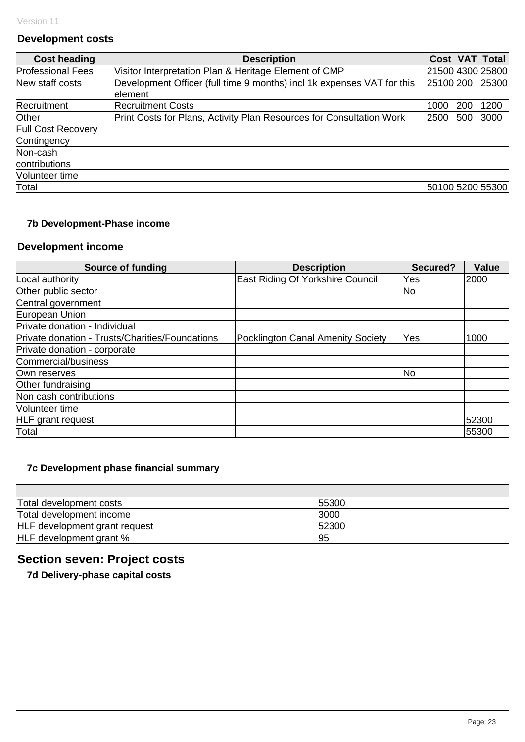| <b>Development costs</b>  |                                                                                    |           |     |                  |
|---------------------------|------------------------------------------------------------------------------------|-----------|-----|------------------|
| <b>Cost heading</b>       | <b>Description</b>                                                                 | Cost VAT  |     | Total            |
| <b>Professional Fees</b>  | Visitor Interpretation Plan & Heritage Element of CMP                              |           |     | 21500 4300 25800 |
| New staff costs           | Development Officer (full time 9 months) incl 1k expenses VAT for this<br>lelement | 25100 200 |     | 25300            |
| Recruitment               | <b>Recruitment Costs</b>                                                           | 1000      | 200 | 1200             |
| Other                     | Print Costs for Plans, Activity Plan Resources for Consultation Work               | 2500      | 500 | 3000             |
| Full Cost Recovery        |                                                                                    |           |     |                  |
| Contingency               |                                                                                    |           |     |                  |
| Non-cash<br>contributions |                                                                                    |           |     |                  |
| Volunteer time            |                                                                                    |           |     |                  |
| Total                     |                                                                                    |           |     | 50100 5200 55300 |

### **7b Development-Phase income**

## **Development income**

| Source of funding                               | <b>Description</b>                | Secured? | <b>Value</b> |
|-------------------------------------------------|-----------------------------------|----------|--------------|
| Local authority                                 | East Riding Of Yorkshire Council  | Yes      | 2000         |
| Other public sector                             |                                   | No       |              |
| Central government                              |                                   |          |              |
| European Union                                  |                                   |          |              |
| Private donation - Individual                   |                                   |          |              |
| Private donation - Trusts/Charities/Foundations | Pocklington Canal Amenity Society | Yes      | 1000         |
| Private donation - corporate                    |                                   |          |              |
| Commercial/business                             |                                   |          |              |
| Own reserves                                    |                                   | No       |              |
| Other fundraising                               |                                   |          |              |
| Non cash contributions                          |                                   |          |              |
| Volunteer time                                  |                                   |          |              |
| <b>HLF</b> grant request                        |                                   |          | 52300        |
| Total                                           |                                   |          | 55300        |

#### **7c Development phase financial summary**

| Total development costs       | 55300 |
|-------------------------------|-------|
| Total development income      | 3000  |
| HLF development grant request | 52300 |
| HLF development grant %       | 95    |

# **Section seven: Project costs**

**7d Delivery-phase capital costs**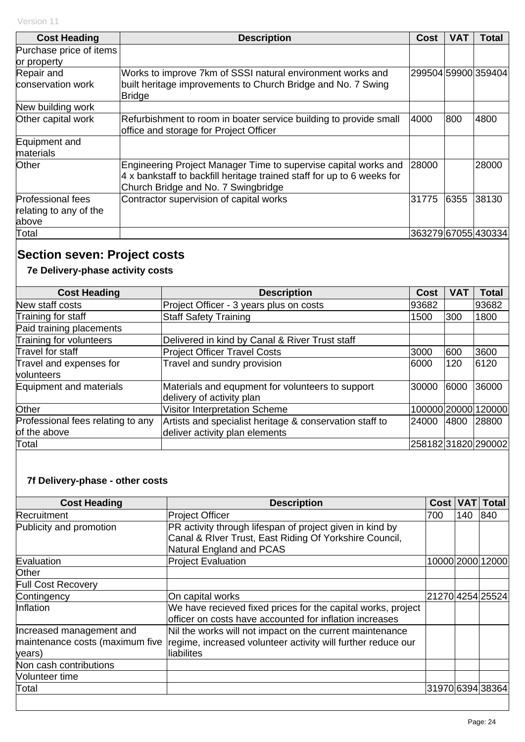| <b>Cost Heading</b>        | <b>Description</b>                                                                                                                                                               | Cost  | VAT  | Total               |
|----------------------------|----------------------------------------------------------------------------------------------------------------------------------------------------------------------------------|-------|------|---------------------|
| Purchase price of items    |                                                                                                                                                                                  |       |      |                     |
| or property                |                                                                                                                                                                                  |       |      |                     |
| Repair and                 | Works to improve 7km of SSSI natural environment works and                                                                                                                       |       |      | 299504 59900 359404 |
| conservation work          | built heritage improvements to Church Bridge and No. 7 Swing<br><b>Bridge</b>                                                                                                    |       |      |                     |
| New building work          |                                                                                                                                                                                  |       |      |                     |
| Other capital work         | Refurbishment to room in boater service building to provide small<br>office and storage for Project Officer                                                                      | 4000  | 800  | 4800                |
| Equipment and<br>materials |                                                                                                                                                                                  |       |      |                     |
| Other                      | Engineering Project Manager Time to supervise capital works and<br>4 x bankstaff to backfill heritage trained staff for up to 6 weeks for<br>Church Bridge and No. 7 Swingbridge | 28000 |      | 28000               |
| <b>Professional fees</b>   | Contractor supervision of capital works                                                                                                                                          | 31775 | 6355 | 38130               |
| relating to any of the     |                                                                                                                                                                                  |       |      |                     |
| above                      |                                                                                                                                                                                  |       |      |                     |
| Total                      |                                                                                                                                                                                  |       |      | 363279 67055 430334 |

# **Section seven: Project costs**

## **7e Delivery-phase activity costs**

| <b>Cost Heading</b>               | <b>Description</b>                                      | <b>Cost</b> | VA <sub>1</sub> | <b>Total</b>        |
|-----------------------------------|---------------------------------------------------------|-------------|-----------------|---------------------|
| New staff costs                   | Project Officer - 3 years plus on costs                 | 93682       |                 | 93682               |
| Training for staff                | <b>Staff Safety Training</b>                            | 1500        | 300             | 1800                |
| Paid training placements          |                                                         |             |                 |                     |
| Training for volunteers           | Delivered in kind by Canal & River Trust staff          |             |                 |                     |
| Travel for staff                  | <b>Project Officer Travel Costs</b>                     | 3000        | 600             | 3600                |
| Travel and expenses for           | Travel and sundry provision                             | 6000        | 120             | 6120                |
| volunteers                        |                                                         |             |                 |                     |
| Equipment and materials           | Materials and equpment for volunteers to support        | 30000       | 6000            | 36000               |
|                                   | delivery of activity plan                               |             |                 |                     |
| Other                             | <b>Visitor Interpretation Scheme</b>                    |             |                 | 100000 20000 120000 |
| Professional fees relating to any | Artists and specialist heritage & conservation staff to | 24000       | 4800            | 28800               |
| of the above                      | deliver activity plan elements                          |             |                 |                     |
| Total                             |                                                         |             |                 | 25818231820290002   |

## **7f Delivery-phase - other costs**

| <b>Cost Heading</b>             | <b>Description</b>                                                                                                                             | <b>Cost</b>      | <b>VAT</b> | <b>Total</b>     |
|---------------------------------|------------------------------------------------------------------------------------------------------------------------------------------------|------------------|------------|------------------|
| Recruitment                     | Project Officer                                                                                                                                | 700              | 140        | 840              |
| Publicity and promotion         | PR activity through lifespan of project given in kind by<br>Canal & River Trust, East Riding Of Yorkshire Council,<br>Natural England and PCAS |                  |            |                  |
| Evaluation                      | <b>Project Evaluation</b>                                                                                                                      |                  |            | 10000 2000 12000 |
| <b>Other</b>                    |                                                                                                                                                |                  |            |                  |
| <b>Full Cost Recovery</b>       |                                                                                                                                                |                  |            |                  |
| Contingency                     | On capital works                                                                                                                               |                  |            | 21270 4254 25524 |
| Inflation                       | We have recieved fixed prices for the capital works, project<br>officer on costs have accounted for inflation increases                        |                  |            |                  |
| Increased management and        | Nil the works will not impact on the current maintenance                                                                                       |                  |            |                  |
| maintenance costs (maximum five | regime, increased volunteer activity will further reduce our                                                                                   |                  |            |                  |
| years)                          | liabilites                                                                                                                                     |                  |            |                  |
| Non cash contributions          |                                                                                                                                                |                  |            |                  |
| <b>Volunteer time</b>           |                                                                                                                                                |                  |            |                  |
| Total                           |                                                                                                                                                | 31970 6394 38364 |            |                  |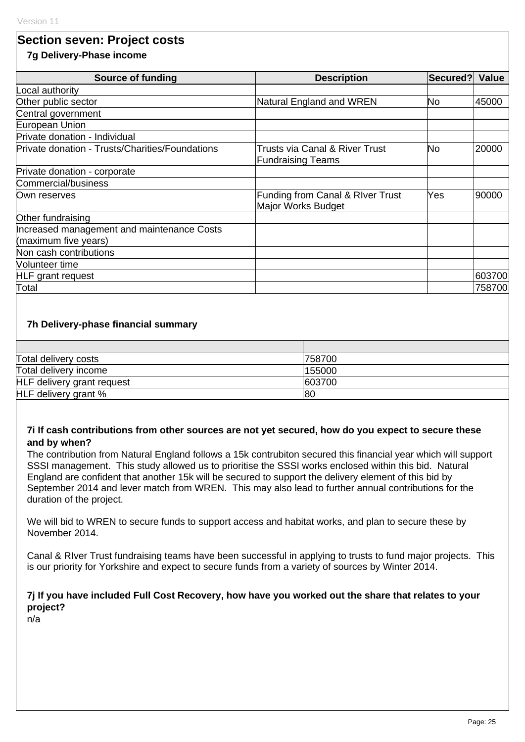## **Section seven: Project costs**

#### **7g Delivery-Phase income**

| <b>Source of funding</b>                                           | <b>Description</b>                                                    | Secured? | <b>Value</b> |  |
|--------------------------------------------------------------------|-----------------------------------------------------------------------|----------|--------------|--|
| Local authority                                                    |                                                                       |          |              |  |
| Other public sector                                                | Natural England and WREN                                              | No       | 45000        |  |
| Central government                                                 |                                                                       |          |              |  |
| European Union                                                     |                                                                       |          |              |  |
| Private donation - Individual                                      |                                                                       |          |              |  |
| Private donation - Trusts/Charities/Foundations                    | <b>Trusts via Canal &amp; River Trust</b><br><b>Fundraising Teams</b> | No       | 20000        |  |
| Private donation - corporate                                       |                                                                       |          |              |  |
| Commercial/business                                                |                                                                       |          |              |  |
| Own reserves                                                       | Funding from Canal & RIver Trust<br>Major Works Budget                | Yes      | 190000       |  |
| Other fundraising                                                  |                                                                       |          |              |  |
| Increased management and maintenance Costs<br>(maximum five years) |                                                                       |          |              |  |
| Non cash contributions                                             |                                                                       |          |              |  |
| <b>Nolunteer time</b>                                              |                                                                       |          |              |  |
| <b>HLF</b> grant request                                           |                                                                       |          | 603700       |  |
| Total                                                              |                                                                       |          | 758700       |  |

#### **7h Delivery-phase financial summary**

| Total delivery costs       | 758700 |
|----------------------------|--------|
| Total delivery income      | 155000 |
| HLF delivery grant request | 603700 |
| HLF delivery grant %       | 80     |

#### **7i If cash contributions from other sources are not yet secured, how do you expect to secure these and by when?**

The contribution from Natural England follows a 15k contrubiton secured this financial year which will support SSSI management. This study allowed us to prioritise the SSSI works enclosed within this bid. Natural England are confident that another 15k will be secured to support the delivery element of this bid by September 2014 and lever match from WREN. This may also lead to further annual contributions for the duration of the project.

We will bid to WREN to secure funds to support access and habitat works, and plan to secure these by November 2014.

Canal & RIver Trust fundraising teams have been successful in applying to trusts to fund major projects. This is our priority for Yorkshire and expect to secure funds from a variety of sources by Winter 2014.

#### **7j If you have included Full Cost Recovery, how have you worked out the share that relates to your project?**

n/a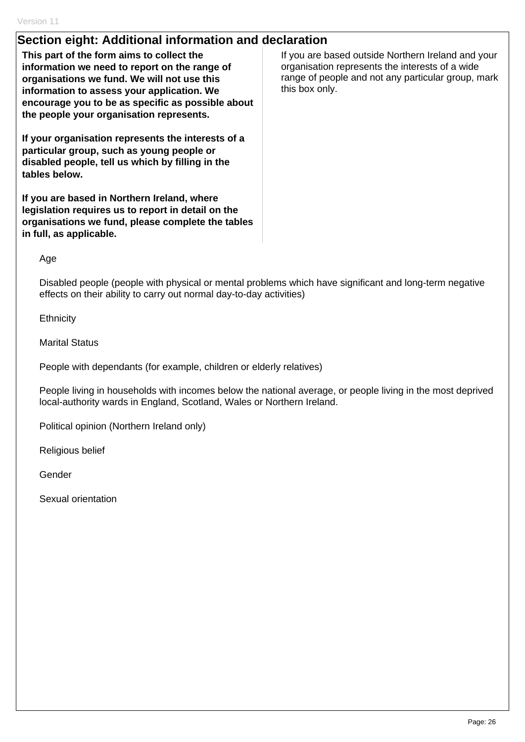## **Section eight: Additional information and declaration**

**This part of the form aims to collect the information we need to report on the range of organisations we fund. We will not use this information to assess your application. We encourage you to be as specific as possible about the people your organisation represents.** 

**If your organisation represents the interests of a particular group, such as young people or disabled people, tell us which by filling in the tables below.** 

**If you are based in Northern Ireland, where legislation requires us to report in detail on the organisations we fund, please complete the tables in full, as applicable.** 

If you are based outside Northern Ireland and your organisation represents the interests of a wide range of people and not any particular group, mark this box only.

Age

Disabled people (people with physical or mental problems which have significant and long-term negative effects on their ability to carry out normal day-to-day activities)

**Ethnicity** 

Marital Status

People with dependants (for example, children or elderly relatives)

People living in households with incomes below the national average, or people living in the most deprived local-authority wards in England, Scotland, Wales or Northern Ireland.

Political opinion (Northern Ireland only)

Religious belief

Gender

Sexual orientation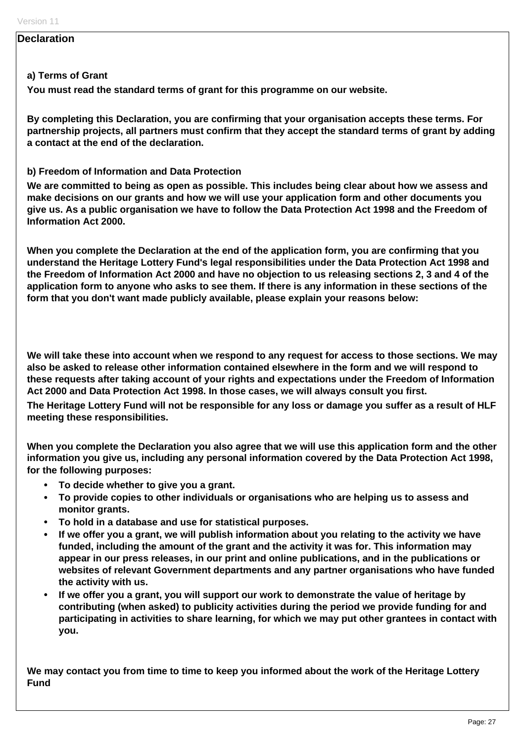#### **Declaration**

#### **a) Terms of Grant**

**You must read the standard terms of grant for this programme on our website.** 

**By completing this Declaration, you are confirming that your organisation accepts these terms. For partnership projects, all partners must confirm that they accept the standard terms of grant by adding a contact at the end of the declaration.** 

#### **b) Freedom of Information and Data Protection**

**We are committed to being as open as possible. This includes being clear about how we assess and make decisions on our grants and how we will use your application form and other documents you give us. As a public organisation we have to follow the Data Protection Act 1998 and the Freedom of Information Act 2000.** 

**When you complete the Declaration at the end of the application form, you are confirming that you understand the Heritage Lottery Fund's legal responsibilities under the Data Protection Act 1998 and the Freedom of Information Act 2000 and have no objection to us releasing sections 2, 3 and 4 of the application form to anyone who asks to see them. If there is any information in these sections of the form that you don't want made publicly available, please explain your reasons below:** 

**We will take these into account when we respond to any request for access to those sections. We may also be asked to release other information contained elsewhere in the form and we will respond to these requests after taking account of your rights and expectations under the Freedom of Information Act 2000 and Data Protection Act 1998. In those cases, we will always consult you first.** 

**The Heritage Lottery Fund will not be responsible for any loss or damage you suffer as a result of HLF meeting these responsibilities.** 

**When you complete the Declaration you also agree that we will use this application form and the other information you give us, including any personal information covered by the Data Protection Act 1998, for the following purposes:** 

- **To decide whether to give you a grant.**
- **To provide copies to other individuals or organisations who are helping us to assess and monitor grants.**
- **To hold in a database and use for statistical purposes.**
- **If we offer you a grant, we will publish information about you relating to the activity we have funded, including the amount of the grant and the activity it was for. This information may appear in our press releases, in our print and online publications, and in the publications or websites of relevant Government departments and any partner organisations who have funded the activity with us.**
- **If we offer you a grant, you will support our work to demonstrate the value of heritage by contributing (when asked) to publicity activities during the period we provide funding for and participating in activities to share learning, for which we may put other grantees in contact with you.**

**We may contact you from time to time to keep you informed about the work of the Heritage Lottery Fund**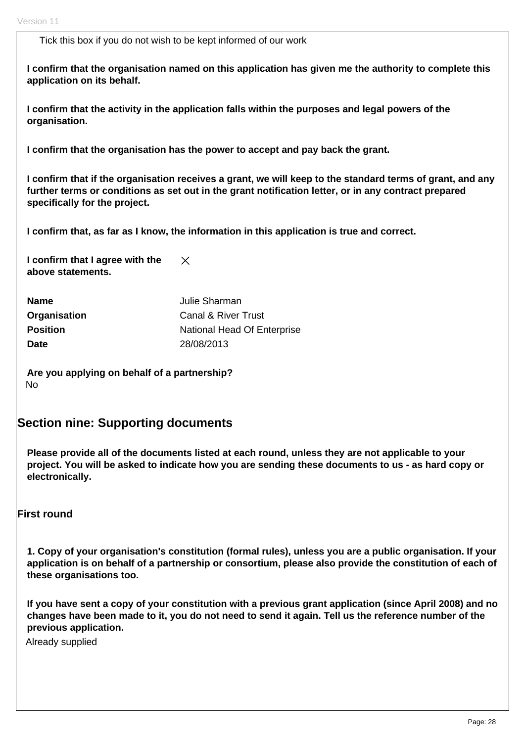Tick this box if you do not wish to be kept informed of our work

**I confirm that the organisation named on this application has given me the authority to complete this application on its behalf.** 

**I confirm that the activity in the application falls within the purposes and legal powers of the organisation.** 

**I confirm that the organisation has the power to accept and pay back the grant.** 

**I confirm that if the organisation receives a grant, we will keep to the standard terms of grant, and any further terms or conditions as set out in the grant notification letter, or in any contract prepared specifically for the project.** 

**I confirm that, as far as I know, the information in this application is true and correct.** 

**I confirm that I agree with the**   $\times$ **above statements.** 

| <b>Name</b>     | Julie Sharman               |
|-----------------|-----------------------------|
| Organisation    | Canal & River Trust         |
| <b>Position</b> | National Head Of Enterprise |
| <b>Date</b>     | 28/08/2013                  |

**Are you applying on behalf of a partnership?**  No

## **Section nine: Supporting documents**

**Please provide all of the documents listed at each round, unless they are not applicable to your project. You will be asked to indicate how you are sending these documents to us - as hard copy or electronically.** 

#### **First round**

**1. Copy of your organisation's constitution (formal rules), unless you are a public organisation. If your application is on behalf of a partnership or consortium, please also provide the constitution of each of these organisations too.** 

**If you have sent a copy of your constitution with a previous grant application (since April 2008) and no changes have been made to it, you do not need to send it again. Tell us the reference number of the previous application.** 

Already supplied